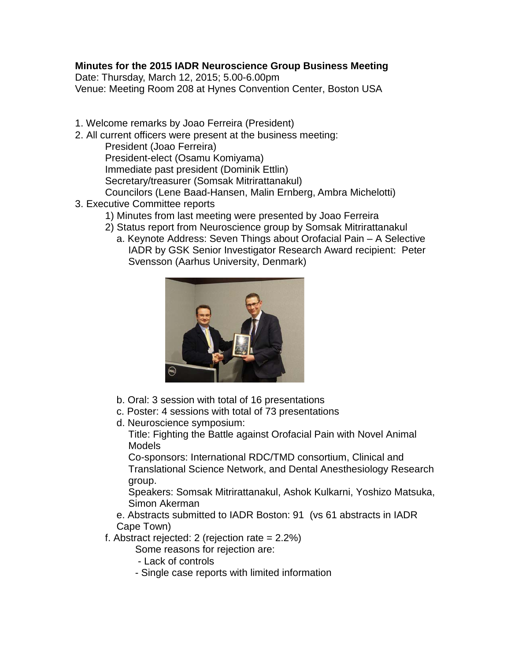## **Minutes for the 2015 IADR Neuroscience Group Business Meeting**

Date: Thursday, March 12, 2015; 5.00-6.00pm Venue: Meeting Room 208 at Hynes Convention Center, Boston USA

- 1. Welcome remarks by Joao Ferreira (President)
- 2. All current officers were present at the business meeting:
	- President (Joao Ferreira)
	- President-elect (Osamu Komiyama)
	- Immediate past president (Dominik Ettlin)
	- Secretary/treasurer (Somsak Mitrirattanakul)
	- Councilors (Lene Baad-Hansen, Malin Ernberg, Ambra Michelotti)
- 3. Executive Committee reports
	- 1) Minutes from last meeting were presented by Joao Ferreira
	- 2) Status report from Neuroscience group by Somsak Mitrirattanakul
		- a. Keynote Address: Seven Things about Orofacial Pain A Selective IADR by GSK Senior Investigator Research Award recipient: Peter Svensson (Aarhus University, Denmark)



- b. Oral: 3 session with total of 16 presentations
- c. Poster: 4 sessions with total of 73 presentations
- d. Neuroscience symposium:

Title: Fighting the Battle against Orofacial Pain with Novel Animal Models

Co-sponsors: International RDC/TMD consortium, Clinical and Translational Science Network, and Dental Anesthesiology Research group.

Speakers: Somsak Mitrirattanakul, Ashok Kulkarni, Yoshizo Matsuka, Simon Akerman

- e. Abstracts submitted to IADR Boston: 91 (vs 61 abstracts in IADR Cape Town)
- f. Abstract rejected: 2 (rejection rate = 2.2%)
	- Some reasons for rejection are:
	- Lack of controls
	- Single case reports with limited information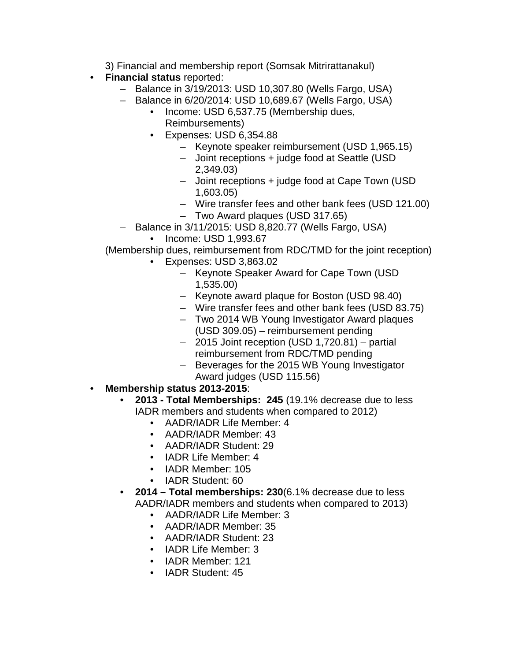3) Financial and membership report (Somsak Mitrirattanakul)

- **Financial status** reported:
	- Balance in 3/19/2013: USD 10,307.80 (Wells Fargo, USA)
	- Balance in 6/20/2014: USD 10,689.67 (Wells Fargo, USA)
		- Income: USD 6,537.75 (Membership dues, Reimbursements)
		- Expenses: USD 6,354.88
			- Keynote speaker reimbursement (USD 1,965.15)
			- Joint receptions + judge food at Seattle (USD 2,349.03)
			- Joint receptions + judge food at Cape Town (USD 1,603.05)
			- Wire transfer fees and other bank fees (USD 121.00)
			- Two Award plaques (USD 317.65)
	- Balance in 3/11/2015: USD 8,820.77 (Wells Fargo, USA)
		- Income: USD 1,993.67

(Membership dues, reimbursement from RDC/TMD for the joint reception)

- Expenses: USD 3,863.02
	- Keynote Speaker Award for Cape Town (USD 1,535.00)
	- Keynote award plaque for Boston (USD 98.40)
	- Wire transfer fees and other bank fees (USD 83.75)
	- Two 2014 WB Young Investigator Award plaques (USD 309.05) – reimbursement pending
	- 2015 Joint reception (USD 1,720.81) partial reimbursement from RDC/TMD pending
	- Beverages for the 2015 WB Young Investigator Award judges (USD 115.56)
- **Membership status 2013-2015**:
	- **2013 - Total Memberships: 245** (19.1% decrease due to less IADR members and students when compared to 2012)
		- AADR/IADR Life Member: 4
		- AADR/IADR Member: 43
		- AADR/IADR Student: 29
		- IADR Life Member: 4
		- IADR Member: 105
		- IADR Student: 60
	- **2014 – Total memberships: 230**(6.1% decrease due to less AADR/IADR members and students when compared to 2013)
		- AADR/IADR Life Member: 3
		- AADR/IADR Member: 35
		- AADR/IADR Student: 23
		- IADR Life Member: 3
		- IADR Member: 121
		- IADR Student: 45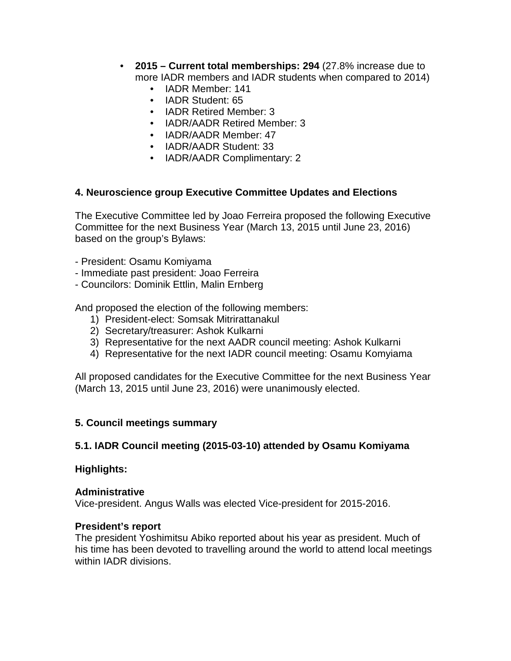- **2015 – Current total memberships: 294** (27.8% increase due to more IADR members and IADR students when compared to 2014)
	- IADR Member: 141
	- IADR Student: 65
	- IADR Retired Member: 3
	- IADR/AADR Retired Member: 3
	- IADR/AADR Member: 47
	- IADR/AADR Student: 33
	- IADR/AADR Complimentary: 2

#### **4. Neuroscience group Executive Committee Updates and Elections**

The Executive Committee led by Joao Ferreira proposed the following Executive Committee for the next Business Year (March 13, 2015 until June 23, 2016) based on the group's Bylaws:

- President: Osamu Komiyama
- Immediate past president: Joao Ferreira
- Councilors: Dominik Ettlin, Malin Ernberg

And proposed the election of the following members:

- 1) President-elect: Somsak Mitrirattanakul
- 2) Secretary/treasurer: Ashok Kulkarni
- 3) Representative for the next AADR council meeting: Ashok Kulkarni
- 4) Representative for the next IADR council meeting: Osamu Komyiama

All proposed candidates for the Executive Committee for the next Business Year (March 13, 2015 until June 23, 2016) were unanimously elected.

#### **5. Council meetings summary**

#### **5.1. IADR Council meeting (2015-03-10) attended by Osamu Komiyama**

#### **Highlights:**

#### **Administrative**

Vice-president. Angus Walls was elected Vice-president for 2015-2016.

#### **President's report**

The president Yoshimitsu Abiko reported about his year as president. Much of his time has been devoted to travelling around the world to attend local meetings within IADR divisions.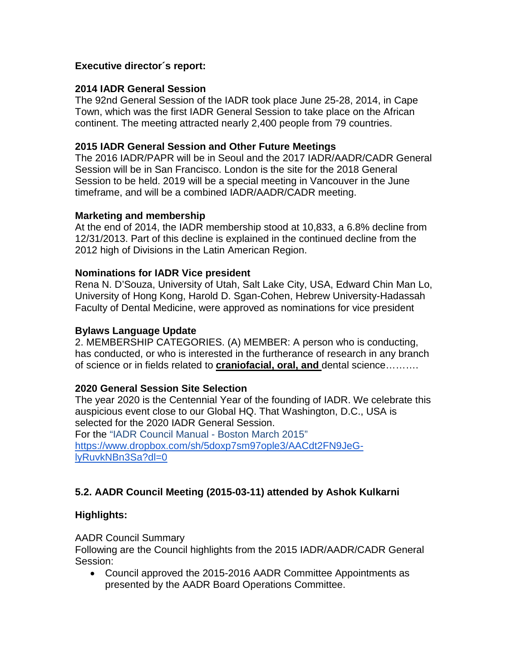#### **Executive director´s report:**

### **2014 IADR General Session**

The 92nd General Session of the IADR took place June 25-28, 2014, in Cape Town, which was the first IADR General Session to take place on the African continent. The meeting attracted nearly 2,400 people from 79 countries.

### **2015 IADR General Session and Other Future Meetings**

The 2016 IADR/PAPR will be in Seoul and the 2017 IADR/AADR/CADR General Session will be in San Francisco. London is the site for the 2018 General Session to be held. 2019 will be a special meeting in Vancouver in the June timeframe, and will be a combined IADR/AADR/CADR meeting.

### **Marketing and membership**

At the end of 2014, the IADR membership stood at 10,833, a 6.8% decline from 12/31/2013. Part of this decline is explained in the continued decline from the 2012 high of Divisions in the Latin American Region.

#### **Nominations for IADR Vice president**

Rena N. D'Souza, University of Utah, Salt Lake City, USA, Edward Chin Man Lo, University of Hong Kong, Harold D. Sgan-Cohen, Hebrew University-Hadassah Faculty of Dental Medicine, were approved as nominations for vice president

### **Bylaws Language Update**

2. MEMBERSHIP CATEGORIES. (A) MEMBER: A person who is conducting, has conducted, or who is interested in the furtherance of research in any branch of science or in fields related to **craniofacial, oral, and** dental science……….

## **2020 General Session Site Selection**

The year 2020 is the Centennial Year of the founding of IADR. We celebrate this auspicious event close to our Global HQ. That Washington, D.C., USA is selected for the 2020 IADR General Session.

For the "IADR Council Manual - Boston March 2015" [https://www.dropbox.com/sh/5doxp7sm97ople3/AACdt2FN9JeG](https://www.dropbox.com/sh/5doxp7sm97ople3/AACdt2FN9JeG-lyRuvkNBn3Sa?dl=0)[lyRuvkNBn3Sa?dl=0](https://www.dropbox.com/sh/5doxp7sm97ople3/AACdt2FN9JeG-lyRuvkNBn3Sa?dl=0)

# **5.2. AADR Council Meeting (2015-03-11) attended by Ashok Kulkarni**

#### **Highlights:**

AADR Council Summary

Following are the Council highlights from the 2015 IADR/AADR/CADR General Session:

• Council approved the 2015-2016 AADR Committee Appointments as presented by the AADR Board Operations Committee.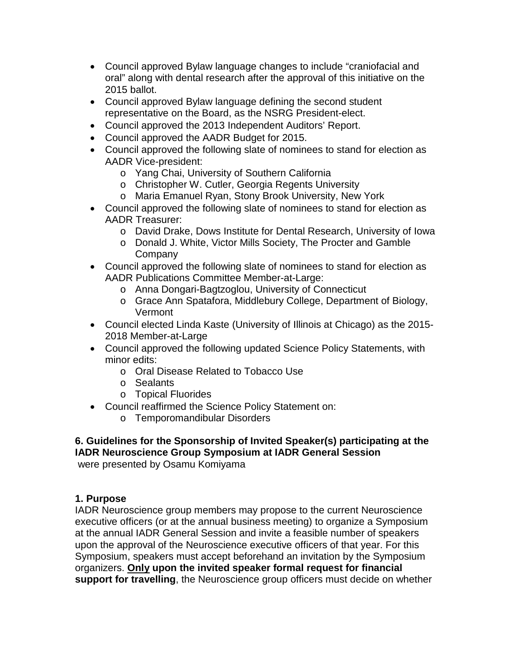- Council approved Bylaw language changes to include "craniofacial and oral" along with dental research after the approval of this initiative on the 2015 ballot.
- Council approved Bylaw language defining the second student representative on the Board, as the NSRG President-elect.
- Council approved the 2013 Independent Auditors' Report.
- Council approved the AADR Budget for 2015.
- Council approved the following slate of nominees to stand for election as AADR Vice-president:
	- o Yang Chai, University of Southern California
	- o Christopher W. Cutler, Georgia Regents University
	- o Maria Emanuel Ryan, Stony Brook University, New York
- Council approved the following slate of nominees to stand for election as AADR Treasurer:
	- o David Drake, Dows Institute for Dental Research, University of Iowa
	- o Donald J. White, Victor Mills Society, The Procter and Gamble **Company**
- Council approved the following slate of nominees to stand for election as AADR Publications Committee Member-at-Large:
	- o Anna Dongari-Bagtzoglou, University of Connecticut
	- o Grace Ann Spatafora, Middlebury College, Department of Biology, Vermont
- Council elected Linda Kaste (University of Illinois at Chicago) as the 2015- 2018 Member-at-Large
- Council approved the following updated Science Policy Statements, with minor edits:
	- o Oral Disease Related to Tobacco Use
	- o Sealants
	- o Topical Fluorides
- Council reaffirmed the Science Policy Statement on:
	- o Temporomandibular Disorders

#### **6. Guidelines for the Sponsorship of Invited Speaker(s) participating at the IADR Neuroscience Group Symposium at IADR General Session** were presented by Osamu Komiyama

## **1. Purpose**

IADR Neuroscience group members may propose to the current Neuroscience executive officers (or at the annual business meeting) to organize a Symposium at the annual IADR General Session and invite a feasible number of speakers upon the approval of the Neuroscience executive officers of that year. For this Symposium, speakers must accept beforehand an invitation by the Symposium organizers. **Only upon the invited speaker formal request for financial support for travelling**, the Neuroscience group officers must decide on whether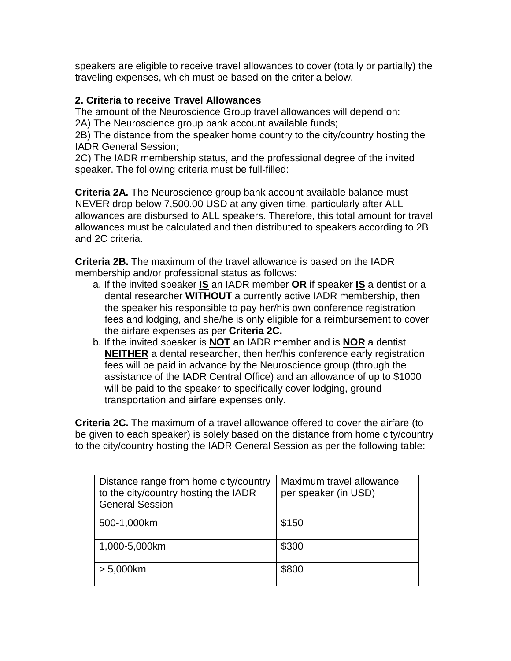speakers are eligible to receive travel allowances to cover (totally or partially) the traveling expenses, which must be based on the criteria below.

## **2. Criteria to receive Travel Allowances**

The amount of the Neuroscience Group travel allowances will depend on:

2A) The Neuroscience group bank account available funds;

2B) The distance from the speaker home country to the city/country hosting the IADR General Session;

2C) The IADR membership status, and the professional degree of the invited speaker. The following criteria must be full-filled:

**Criteria 2A.** The Neuroscience group bank account available balance must NEVER drop below 7,500.00 USD at any given time, particularly after ALL allowances are disbursed to ALL speakers. Therefore, this total amount for travel allowances must be calculated and then distributed to speakers according to 2B and 2C criteria.

**Criteria 2B.** The maximum of the travel allowance is based on the IADR membership and/or professional status as follows:

- a. If the invited speaker **IS** an IADR member **OR** if speaker **IS** a dentist or a dental researcher **WITHOUT** a currently active IADR membership, then the speaker his responsible to pay her/his own conference registration fees and lodging, and she/he is only eligible for a reimbursement to cover the airfare expenses as per **Criteria 2C.**
- b. If the invited speaker is **NOT** an IADR member and is **NOR** a dentist **NEITHER** a dental researcher, then her/his conference early registration fees will be paid in advance by the Neuroscience group (through the assistance of the IADR Central Office) and an allowance of up to \$1000 will be paid to the speaker to specifically cover lodging, ground transportation and airfare expenses only.

**Criteria 2C.** The maximum of a travel allowance offered to cover the airfare (to be given to each speaker) is solely based on the distance from home city/country to the city/country hosting the IADR General Session as per the following table:

| Distance range from home city/country<br>to the city/country hosting the IADR<br><b>General Session</b> | Maximum travel allowance<br>per speaker (in USD) |
|---------------------------------------------------------------------------------------------------------|--------------------------------------------------|
| 500-1,000km                                                                                             | \$150                                            |
| 1,000-5,000km                                                                                           | \$300                                            |
| $> 5,000$ km                                                                                            | \$800                                            |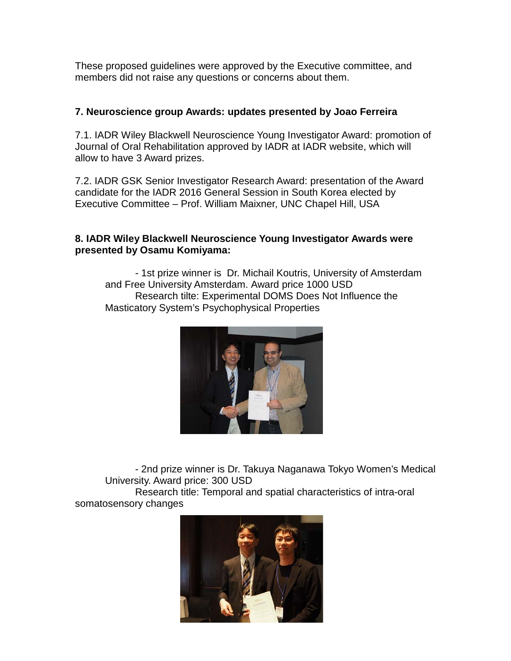These proposed guidelines were approved by the Executive committee, and members did not raise any questions or concerns about them.

### **7. Neuroscience group Awards: updates presented by Joao Ferreira**

7.1. IADR Wiley Blackwell Neuroscience Young Investigator Award: promotion of Journal of Oral Rehabilitation approved by IADR at IADR website, which will allow to have 3 Award prizes.

7.2. IADR GSK Senior Investigator Research Award: presentation of the Award candidate for the IADR 2016 General Session in South Korea elected by Executive Committee – Prof. William Maixner, UNC Chapel Hill, USA

### **8. IADR Wiley Blackwell Neuroscience Young Investigator Awards were presented by Osamu Komiyama:**

- 1st prize winner is Dr. Michail Koutris, University of Amsterdam and Free University Amsterdam. Award price 1000 USD Research tilte: Experimental DOMS Does Not Influence the Masticatory System's Psychophysical Properties



- 2nd prize winner is Dr. Takuya Naganawa Tokyo Women's Medical University. Award price: 300 USD

Research title: Temporal and spatial characteristics of intra-oral somatosensory changes

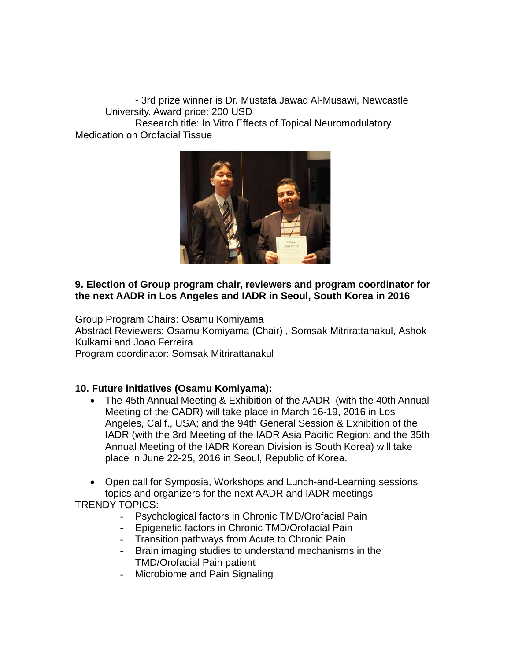- 3rd prize winner is Dr. Mustafa Jawad Al-Musawi, Newcastle University. Award price: 200 USD Research title: In Vitro Effects of Topical Neuromodulatory Medication on Orofacial Tissue



## **9. Election of Group program chair, reviewers and program coordinator for the next AADR in Los Angeles and IADR in Seoul, South Korea in 2016**

Group Program Chairs: Osamu Komiyama Abstract Reviewers: Osamu Komiyama (Chair) , Somsak Mitrirattanakul, Ashok Kulkarni and Joao Ferreira

Program coordinator: Somsak Mitrirattanakul

## **10. Future initiatives (Osamu Komiyama):**

- The 45th Annual Meeting & Exhibition of the AADR (with the 40th Annual Meeting of the CADR) will take place in March 16-19, 2016 in Los Angeles, Calif., USA; and the 94th General Session & Exhibition of the IADR (with the 3rd Meeting of the IADR Asia Pacific Region; and the 35th Annual Meeting of the IADR Korean Division is South Korea) will take place in June 22-25, 2016 in Seoul, Republic of Korea.
- Open call for Symposia, Workshops and Lunch-and-Learning sessions topics and organizers for the next AADR and IADR meetings TRENDY TOPICS:
	- Psychological factors in Chronic TMD/Orofacial Pain
	- Epigenetic factors in Chronic TMD/Orofacial Pain
	- Transition pathways from Acute to Chronic Pain<br>- Brain imaging studies to understand mechanism
	- Brain imaging studies to understand mechanisms in the TMD/Orofacial Pain patient
	- Microbiome and Pain Signaling